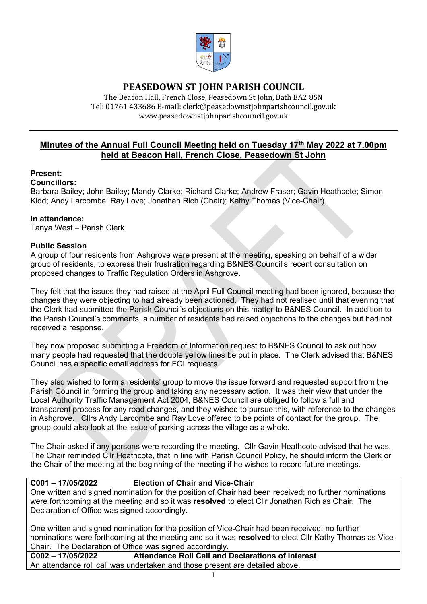

# **PEASEDOWN ST JOHN PARISH COUNCIL**

The Beacon Hall, French Close, Peasedown St John, Bath BA2 8SN Tel: 01761 433686 E-mail: clerk@peasedownstjohnparishcouncil.gov.uk [www.peasedownstjohnparishcouncil.gov.uk](http://www.peasedownstjohnparishcouncil.gov.uk/)

# **Minutes of the Annual Full Council Meeting held on Tuesday 17th May 2022 at 7.00pm held at Beacon Hall, French Close, Peasedown St John**

#### **Present:**

#### **Councillors:**

Barbara Bailey; John Bailey; Mandy Clarke; Richard Clarke; Andrew Fraser; Gavin Heathcote; Simon Kidd; Andy Larcombe; Ray Love; Jonathan Rich (Chair); Kathy Thomas (Vice-Chair).

#### **In attendance:**

Tanya West – Parish Clerk

#### **Public Session**

A group of four residents from Ashgrove were present at the meeting, speaking on behalf of a wider group of residents, to express their frustration regarding B&NES Council's recent consultation on proposed changes to Traffic Regulation Orders in Ashgrove.

They felt that the issues they had raised at the April Full Council meeting had been ignored, because the changes they were objecting to had already been actioned. They had not realised until that evening that the Clerk had submitted the Parish Council's objections on this matter to B&NES Council. In addition to the Parish Council's comments, a number of residents had raised objections to the changes but had not received a response.

They now proposed submitting a Freedom of Information request to B&NES Council to ask out how many people had requested that the double yellow lines be put in place. The Clerk advised that B&NES Council has a specific email address for FOI requests.

They also wished to form a residents' group to move the issue forward and requested support from the Parish Council in forming the group and taking any necessary action. It was their view that under the Local Authority Traffic Management Act 2004, B&NES Council are obliged to follow a full and transparent process for any road changes, and they wished to pursue this, with reference to the changes in Ashgrove. Cllrs Andy Larcombe and Ray Love offered to be points of contact for the group. The group could also look at the issue of parking across the village as a whole.

The Chair asked if any persons were recording the meeting. Cllr Gavin Heathcote advised that he was. The Chair reminded Cllr Heathcote, that in line with Parish Council Policy, he should inform the Clerk or the Chair of the meeting at the beginning of the meeting if he wishes to record future meetings.

# **C001 – 17/05/2022 Election of Chair and Vice-Chair**

One written and signed nomination for the position of Chair had been received; no further nominations were forthcoming at the meeting and so it was **resolved** to elect Cllr Jonathan Rich as Chair. The Declaration of Office was signed accordingly.

One written and signed nomination for the position of Vice-Chair had been received; no further nominations were forthcoming at the meeting and so it was **resolved** to elect Cllr Kathy Thomas as Vice-Chair. The Declaration of Office was signed accordingly.<br>C002 - 17/05/2022 **Attendance Roll Call and I** 

**C002 – 17/05/2022 Attendance Roll Call and Declarations of Interest** An attendance roll call was undertaken and those present are detailed above.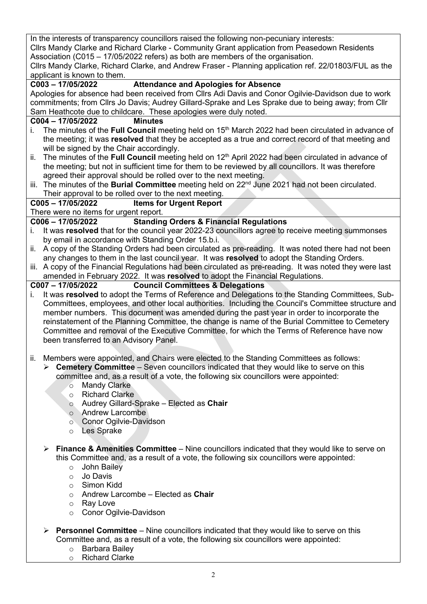In the interests of transparency councillors raised the following non-pecuniary interests: Cllrs Mandy Clarke and Richard Clarke - Community Grant application from Peasedown Residents

Association (C015 – 17/05/2022 refers) as both are members of the organisation.

Cllrs Mandy Clarke, Richard Clarke, and Andrew Fraser - Planning application ref. 22/01803/FUL as the applicant is known to them.

# **C003 – 17/05/2022 Attendance and Apologies for Absence**

Apologies for absence had been received from Cllrs Adi Davis and Conor Ogilvie-Davidson due to work commitments; from Cllrs Jo Davis; Audrey Gillard-Sprake and Les Sprake due to being away; from Cllr Sam Heathcote due to childcare. These apologies were duly noted.

#### **C004 – 17/05/2022 Minutes**

- i. The minutes of the **Full Council** meeting held on 15<sup>th</sup> March 2022 had been circulated in advance of the meeting; it was **resolved** that they be accepted as a true and correct record of that meeting and will be signed by the Chair accordingly.
- ii. The minutes of the **Full Council** meeting held on 12<sup>th</sup> April 2022 had been circulated in advance of the meeting; but not in sufficient time for them to be reviewed by all councillors. It was therefore agreed their approval should be rolled over to the next meeting.
- iii. The minutes of the **Burial Committee** meeting held on 22<sup>nd</sup> June 2021 had not been circulated. Their approval to be rolled over to the next meeting.<br>C005 - 17/05/2022 ltems for Urgent Report

#### **C005 – 17/05/2022 Items for Urgent Report**

There were no items for urgent report.

#### **C006 – 17/05/2022 Standing Orders & Financial Regulations**

- i. It was **resolved** that for the council year 2022-23 councillors agree to receive meeting summonses by email in accordance with Standing Order 15.b.i.
- ii. A copy of the Standing Orders had been circulated as pre-reading. It was noted there had not been any changes to them in the last council year. It was **resolved** to adopt the Standing Orders.
- iii. A copy of the Financial Regulations had been circulated as pre-reading. It was noted they were last amended in February 2022. It was **resolved** to adopt the Financial Regulations.

#### **C007 – 17/05/2022 Council Committees & Delegations**

- i. It was **resolved** to adopt the Terms of Reference and Delegations to the Standing Committees, Sub-Committees, employees, and other local authorities. Including the Council's Committee structure and member numbers. This document was amended during the past year in order to incorporate the reinstatement of the Planning Committee, the change is name of the Burial Committee to Cemetery Committee and removal of the Executive Committee, for which the Terms of Reference have now been transferred to an Advisory Panel.
- ii. Members were appointed, and Chairs were elected to the Standing Committees as follows:
	- **Cemetery Committee** Seven councillors indicated that they would like to serve on this committee and, as a result of a vote, the following six councillors were appointed:
		- o Mandy Clarke
		- o Richard Clarke
		- o Audrey Gillard-Sprake Elected as **Chair**
		- o Andrew Larcombe
		- o Conor Ogilvie-Davidson
		- o Les Sprake
	- **Finance & Amenities Committee** Nine councillors indicated that they would like to serve on this Committee and, as a result of a vote, the following six councillors were appointed:
		- o John Bailey
		- o Jo Davis
		- o Simon Kidd
		- o Andrew Larcombe Elected as **Chair**
		- o Ray Love
		- o Conor Ogilvie-Davidson
	- **Personnel Committee** Nine councillors indicated that they would like to serve on this Committee and, as a result of a vote, the following six councillors were appointed:
		- o Barbara Bailey
		- o Richard Clarke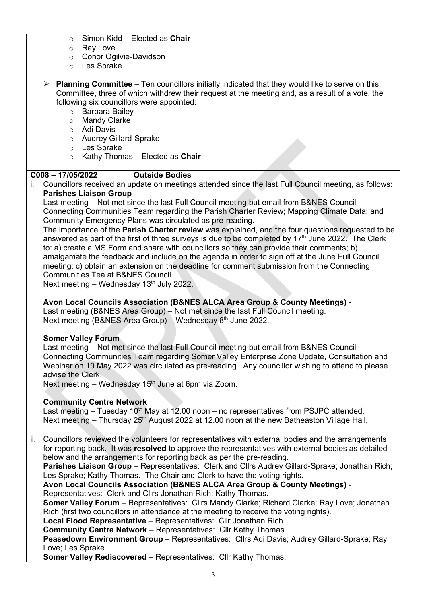- o Simon Kidd Elected as **Chair**
- o Ray Love
- o Conor Ogilvie-Davidson
- o Les Sprake
- **Planning Committee** Ten councillors initially indicated that they would like to serve on this Committee, three of which withdrew their request at the meeting and, as a result of a vote, the following six councillors were appointed:
	- o Barbara Bailey
	- o Mandy Clarke
	- o Adi Davis
	- o Audrey Gillard-Sprake
	- o Les Sprake
	- o Kathy Thomas Elected as **Chair**

# **C008 – 17/05/2022 Outside Bodies**

i. Councillors received an update on meetings attended since the last Full Council meeting, as follows: **Parishes Liaison Group**

Last meeting – Not met since the last Full Council meeting but email from B&NES Council Connecting Communities Team regarding the Parish Charter Review; Mapping Climate Data; and Community Emergency Plans was circulated as pre-reading.

The importance of the **Parish Charter review** was explained, and the four questions requested to be answered as part of the first of three surveys is due to be completed by 17<sup>th</sup> June 2022. The Clerk to: a) create a MS Form and share with councillors so they can provide their comments; b) amalgamate the feedback and include on the agenda in order to sign off at the June Full Council meeting; c) obtain an extension on the deadline for comment submission from the Connecting Communities Tea at B&NES Council.

Next meeting – Wednesday  $13<sup>th</sup>$  July 2022.

#### **Avon Local Councils Association (B&NES ALCA Area Group & County Meetings)** -

Last meeting (B&NES Area Group) – Not met since the last Full Council meeting. Next meeting (B&NES Area Group) – Wednesday 8<sup>th</sup> June 2022.

#### **Somer Valley Forum**

Last meeting – Not met since the last Full Council meeting but email from B&NES Council Connecting Communities Team regarding Somer Valley Enterprise Zone Update, Consultation and Webinar on 19 May 2022 was circulated as pre-reading. Any councillor wishing to attend to please advise the Clerk.

Next meeting – Wednesday  $15<sup>th</sup>$  June at 6pm via Zoom.

#### **Community Centre Network**

Last meeting  $-$  Tuesday 10<sup>th</sup> May at 12.00 noon  $-$  no representatives from PSJPC attended. Next meeting – Thursday 25<sup>th</sup> August 2022 at 12.00 noon at the new Batheaston Village Hall.

ii. Councillors reviewed the volunteers for representatives with external bodies and the arrangements for reporting back. It was **resolved** to approve the representatives with external bodies as detailed below and the arrangements for reporting back as per the pre-reading.

Parishes Liaison Group - Representatives: Clerk and Cllrs Audrey Gillard-Sprake; Jonathan Rich; Les Sprake; Kathy Thomas. The Chair and Clerk to have the voting rights.

**Avon Local Councils Association (B&NES ALCA Area Group & County Meetings)** -

Representatives: Clerk and Cllrs Jonathan Rich; Kathy Thomas.

**Somer Valley Forum** – Representatives: Cllrs Mandy Clarke; Richard Clarke; Ray Love; Jonathan Rich (first two councillors in attendance at the meeting to receive the voting rights).

**Local Flood Representative** – Representatives: Cllr Jonathan Rich.

**Community Centre Network** – Representatives: Cllr Kathy Thomas.

**Peasedown Environment Group** – Representatives: Cllrs Adi Davis; Audrey Gillard-Sprake; Ray Love; Les Sprake.

**Somer Valley Rediscovered** – Representatives: Cllr Kathy Thomas.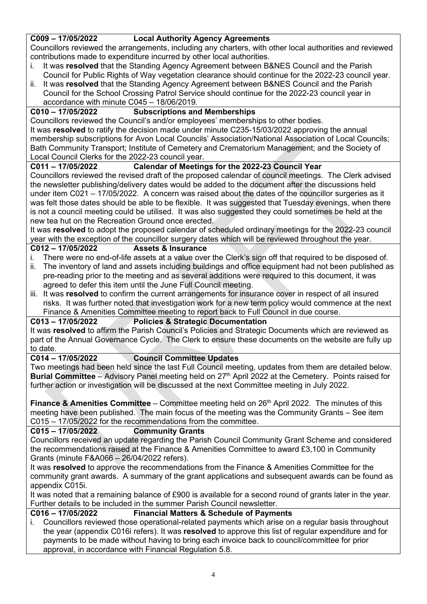#### **C009 – 17/05/2022 Local Authority Agency Agreements**

Councillors reviewed the arrangements, including any charters, with other local authorities and reviewed contributions made to expenditure incurred by other local authorities.

- i. It was **resolved** that the Standing Agency Agreement between B&NES Council and the Parish Council for Public Rights of Way vegetation clearance should continue for the 2022-23 council year.
- ii. It was **resolved** that the Standing Agency Agreement between B&NES Council and the Parish Council for the School Crossing Patrol Service should continue for the 2022-23 council year in accordance with minute C045 – 18/06/2019.

# **C010 – 17/05/2022 Subscriptions and Memberships**

Councillors reviewed the Council's and/or employees' memberships to other bodies. It was **resolved** to ratify the decision made under minute C235-15/03/2022 approving the annual membership subscriptions for Avon Local Councils' Association/National Association of Local Councils; Bath Community Transport; Institute of Cemetery and Crematorium Management; and the Society of Local Council Clerks for the 2022-23 council year.

# **C011 – 17/05/2022 Calendar of Meetings for the 2022-23 Council Year**

Councillors reviewed the revised draft of the proposed calendar of council meetings. The Clerk advised the newsletter publishing/delivery dates would be added to the document after the discussions held under item C021 – 17/05/2022. A concern was raised about the dates of the councillor surgeries as it was felt those dates should be able to be flexible. It was suggested that Tuesday evenings, when there is not a council meeting could be utilised. It was also suggested they could sometimes be held at the new tea hut on the Recreation Ground once erected.

It was **resolved** to adopt the proposed calendar of scheduled ordinary meetings for the 2022-23 council year with the exception of the councillor surgery dates which will be reviewed throughout the year.<br>C012 – 17/05/2022 **Assets & Insurance** 

# **C012 – 17/05/2022 Assets & Insurance**

- i. There were no end-of-life assets at a value over the Clerk's sign off that required to be disposed of.
- ii. The inventory of land and assets including buildings and office equipment had not been published as pre-reading prior to the meeting and as several additions were required to this document, it was agreed to defer this item until the June Full Council meeting.
- iii. It was **resolved** to confirm the current arrangements for insurance cover in respect of all insured risks. It was further noted that investigation work for a new term policy would commence at the next Finance & Amenities Committee meeting to report back to Full Council in due course.

## **C013 – 17/05/2022 Policies & Strategic Documentation**

It was **resolved** to affirm the Parish Council's Policies and Strategic Documents which are reviewed as part of the Annual Governance Cycle. The Clerk to ensure these documents on the website are fully up to date.<br>C014 - 17/05/2022

# **C014 – 17/05/2022 Council Committee Updates**

Two meetings had been held since the last Full Council meeting, updates from them are detailed below. **Burial Committee** – Advisory Panel meeting held on 27<sup>th</sup> April 2022 at the Cemetery. Points raised for further action or investigation will be discussed at the next Committee meeting in July 2022.

**Finance & Amenities Committee** – Committee meeting held on 26<sup>th</sup> April 2022. The minutes of this meeting have been published. The main focus of the meeting was the Community Grants – See item C015 – 17/05/2022 for the recommendations from the committee.

# **C015 – 17/05/2022 Community Grants**

Councillors received an update regarding the Parish Council Community Grant Scheme and considered the recommendations raised at the Finance & Amenities Committee to award £3,100 in Community Grants (minute F&A066 – 26/04/2022 refers).

It was **resolved** to approve the recommendations from the Finance & Amenities Committee for the community grant awards. A summary of the grant applications and subsequent awards can be found as appendix C015i.

It was noted that a remaining balance of £900 is available for a second round of grants later in the year. Further details to be included in the summer Parish Council newsletter.

# **C016 – 17/05/2022 Financial Matters & Schedule of Payments**

i. Councillors reviewed those operational-related payments which arise on a regular basis throughout the year (appendix C016i refers). It was **resolved** to approve this list of regular expenditure and for payments to be made without having to bring each invoice back to council/committee for prior approval, in accordance with Financial Regulation 5.8.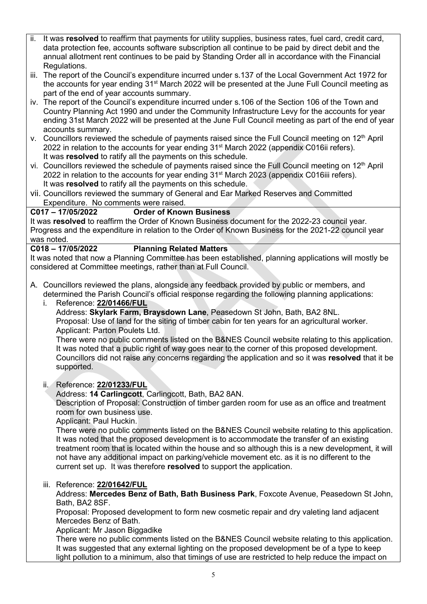- ii. It was **resolved** to reaffirm that payments for utility supplies, business rates, fuel card, credit card, data protection fee, accounts software subscription all continue to be paid by direct debit and the annual allotment rent continues to be paid by Standing Order all in accordance with the Financial Regulations.
- iii. The report of the Council's expenditure incurred under s.137 of the Local Government Act 1972 for the accounts for year ending 31<sup>st</sup> March 2022 will be presented at the June Full Council meeting as part of the end of year accounts summary.
- iv. The report of the Council's expenditure incurred under s.106 of the Section 106 of the Town and Country Planning Act 1990 and under the Community Infrastructure Levy for the accounts for year ending 31st March 2022 will be presented at the June Full Council meeting as part of the end of year accounts summary.
- v. Councillors reviewed the schedule of payments raised since the Full Council meeting on 12<sup>th</sup> April 2022 in relation to the accounts for year ending 31<sup>st</sup> March 2022 (appendix C016ii refers). It was **resolved** to ratify all the payments on this schedule.
- vi. Councillors reviewed the schedule of payments raised since the Full Council meeting on 12<sup>th</sup> April 2022 in relation to the accounts for year ending  $31<sup>st</sup>$  March 2023 (appendix C016iii refers). It was **resolved** to ratify all the payments on this schedule.
- vii. Councillors reviewed the summary of General and Ear Marked Reserves and Committed Expenditure. No comments were raised.

# **C017 – 17/05/2022 Order of Known Business**

It was **resolved** to reaffirm the Order of Known Business document for the 2022-23 council year. Progress and the expenditure in relation to the Order of Known Business for the 2021-22 council year was noted.<br>C018 - 17/05/2022

# **C018 – 17/05/2022 Planning Related Matters**

It was noted that now a Planning Committee has been established, planning applications will mostly be considered at Committee meetings, rather than at Full Council.

A. Councillors reviewed the plans, alongside any feedback provided by public or members, and determined the Parish Council's official response regarding the following planning applications:

i. Reference: **[22/01466/FUL](https://www.bathnes.gov.uk/webforms/planning/details.html?refval=22%2F01466%2FFUL#details_Section)**

Address: **Skylark Farm, Braysdown Lane**, Peasedown St John, Bath, BA2 8NL. Proposal: Use of land for the siting of timber cabin for ten years for an agricultural worker. Applicant: Parton Poulets Ltd.

There were no public comments listed on the B&NES Council website relating to this application. It was noted that a public right of way goes near to the corner of this proposed development. Councillors did not raise any concerns regarding the application and so it was **resolved** that it be supported.

#### ii. Reference: **[22/01233/FUL](https://www.bathnes.gov.uk/webforms/planning/details.html?refval=22%2F01233%2FFUL)**

Address: **14 Carlingcott**, Carlingcott, Bath, BA2 8AN.

Description of Proposal: Construction of timber garden room for use as an office and treatment room for own business use.

Applicant: Paul Huckin.

There were no public comments listed on the B&NES Council website relating to this application. It was noted that the proposed development is to accommodate the transfer of an existing treatment room that is located within the house and so although this is a new development, it will not have any additional impact on parking/vehicle movement etc. as it is no different to the current set up. It was therefore **resolved** to support the application.

#### iii. Reference: **[22/01642/FUL](https://www.bathnes.gov.uk/webforms/planning/details.html?refval=22%2F01642%2FFUL)**

Address: **Mercedes Benz of Bath, Bath Business Park**, Foxcote Avenue, Peasedown St John, Bath, BA2 8SF.

Proposal: Proposed development to form new cosmetic repair and dry valeting land adjacent Mercedes Benz of Bath.

Applicant: Mr Jason Biggadike

There were no public comments listed on the B&NES Council website relating to this application. It was suggested that any external lighting on the proposed development be of a type to keep light pollution to a minimum, also that timings of use are restricted to help reduce the impact on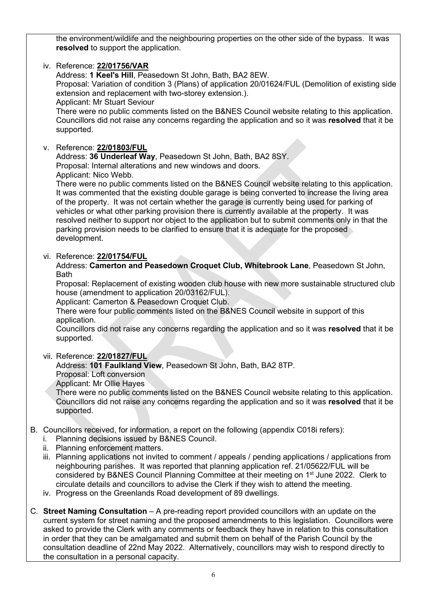the environment/wildlife and the neighbouring properties on the other side of the bypass. It was **resolved** to support the application.

iv. Reference: **[22/01756/VAR](https://www.bathnes.gov.uk/webforms/planning/details.html?refval=22%2F01756%2FVAR)** Address: **1 Keel's Hill**, Peasedown St John, Bath, BA2 8EW. Proposal: Variation of condition 3 (Plans) of application 20/01624/FUL (Demolition of existing side extension and replacement with two-storey extension.). Applicant: Mr Stuart Seviour There were no public comments listed on the B&NES Council website relating to this application. Councillors did not raise any concerns regarding the application and so it was **resolved** that it be supported. v. Reference: **[22/01803/FUL](https://www.bathnes.gov.uk/webforms/planning/details.html?refval=22%2F01803%2FFUL)** Address: **36 Underleaf Way**, Peasedown St John, Bath, BA2 8SY. Proposal: Internal alterations and new windows and doors. Applicant: Nico Webb. There were no public comments listed on the B&NES Council website relating to this application. It was commented that the existing double garage is being converted to increase the living area of the property. It was not certain whether the garage is currently being used for parking of vehicles or what other parking provision there is currently available at the property. It was resolved neither to support nor object to the application but to submit comments only in that the parking provision needs to be clarified to ensure that it is adequate for the proposed development. vi. Reference: **[22/01754/FUL](https://www.bathnes.gov.uk/webforms/planning/details.html?refval=22%2F01754%2FFUL)** Address: **Camerton and Peasedown Croquet Club, Whitebrook Lane**, Peasedown St John, **Bath** Proposal: Replacement of existing wooden club house with new more sustainable structured club house (amendment to application 20/03162/FUL). Applicant: Camerton & Peasedown Croquet Club. There were four public comments listed on the B&NES Council website in support of this application. Councillors did not raise any concerns regarding the application and so it was **resolved** that it be supported. vii. Reference: **[22/01827/FUL](https://www.bathnes.gov.uk/webforms/planning/details.html?refval=22%2F01827%2FFUL)** Address: **101 Faulkland View**, Peasedown St John, Bath, BA2 8TP. Proposal: Loft conversion Applicant: Mr Ollie Hayes There were no public comments listed on the B&NES Council website relating to this application. Councillors did not raise any concerns regarding the application and so it was **resolved** that it be supported. B. Councillors received, for information, a report on the following (appendix C018i refers): i. Planning decisions issued by B&NES Council. ii. Planning enforcement matters. iii. Planning applications not invited to comment / appeals / pending applications / applications from neighbouring parishes. It was reported that planning application ref. 21/05622/FUL will be considered by B&NES Council Planning Committee at their meeting on 1st June 2022. Clerk to circulate details and councillors to advise the Clerk if they wish to attend the meeting. iv. Progress on the Greenlands Road development of 89 dwellings. C. **[Street Naming Consultation](https://www.gov.uk/government/consultations/technical-consultation-on-street-naming/technical-consultation-on-street-naming?msclkid=c50cbe48cf8511ecb33ad7a55f74918d)** – A pre-reading report provided councillors with an update on the current system for street naming and the proposed amendments to this legislation. Councillors were asked to provide the Clerk with any comments or feedback they have in relation to this consultation in order that they can be amalgamated and submit them on behalf of the Parish Council by the consultation deadline of 22nd May 2022. Alternatively, councillors may wish to respond directly to

the consultation in a personal capacity.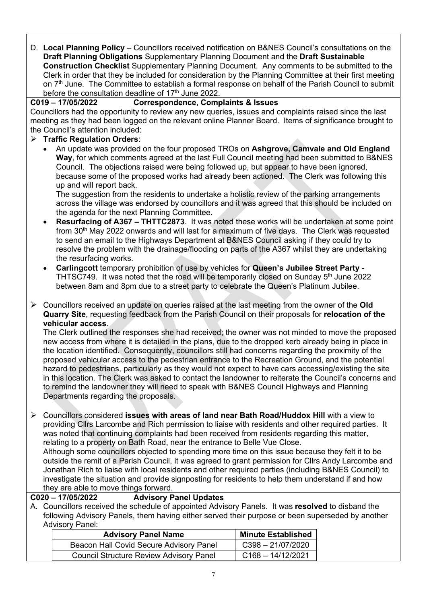D. **Local Planning Policy** – Councillors received notification on B&NES Council's consultations on the **[Draft Planning Obligations](https://beta.bathnes.gov.uk/draft-planning-obligations-spd)** Supplementary Planning Document and the **[Draft Sustainable](https://beta.bathnes.gov.uk/draft-sustainable-construction-checklist-spd)  [Construction Checklist](https://beta.bathnes.gov.uk/draft-sustainable-construction-checklist-spd)** Supplementary Planning Document. Any comments to be submitted to the Clerk in order that they be included for consideration by the Planning Committee at their first meeting on 7<sup>th</sup> June. The Committee to establish a formal response on behalf of the Parish Council to submit before the consultation deadline of  $17<sup>th</sup>$  June 2022.

#### **C019 – 17/05/2022 Correspondence, Complaints & Issues**

Councillors had the opportunity to review any new queries, issues and complaints raised since the last meeting as they had been logged on the relevant online Planner Board. Items of significance brought to the Council's attention included:

# **Traffic Regulation Orders**:

• An update was provided on the four proposed TROs on **Ashgrove, Camvale and Old England Way**, for which comments agreed at the last Full Council meeting had been submitted to B&NES Council. The objections raised were being followed up, but appear to have been ignored, because some of the proposed works had already been actioned. The Clerk was following this up and will report back.

The suggestion from the residents to undertake a holistic review of the parking arrangements across the village was endorsed by councillors and it was agreed that this should be included on the agenda for the next Planning Committee.

- **Resurfacing of A367 – THTTC2873**. It was noted these works will be undertaken at some point from 30<sup>th</sup> May 2022 onwards and will last for a maximum of five days. The Clerk was requested to send an email to the Highways Department at B&NES Council asking if they could try to resolve the problem with the drainage/flooding on parts of the A367 whilst they are undertaking the resurfacing works.
- **Carlingcott** temporary prohibition of use by vehicles for **Queen's Jubilee Street Party** THTSC749. It was noted that the road will be temporarily closed on Sunday  $5<sup>th</sup>$  June 2022 between 8am and 8pm due to a street party to celebrate the Queen's Platinum Jubilee.
- Councillors received an update on queries raised at the last meeting from the owner of the **Old Quarry Site**, requesting feedback from the Parish Council on their proposals for **relocation of the vehicular access**.

The Clerk outlined the responses she had received; the owner was not minded to move the proposed new access from where it is detailed in the plans, due to the dropped kerb already being in place in the location identified. Consequently, councillors still had concerns regarding the proximity of the proposed vehicular access to the pedestrian entrance to the Recreation Ground, and the potential hazard to pedestrians, particularly as they would not expect to have cars accessing/existing the site in this location. The Clerk was asked to contact the landowner to reiterate the Council's concerns and to remind the landowner they will need to speak with B&NES Council Highways and Planning Departments regarding the proposals.

 Councillors considered **issues with areas of land near Bath Road/Huddox Hill** with a view to providing Cllrs Larcombe and Rich permission to liaise with residents and other required parties. It was noted that continuing complaints had been received from residents regarding this matter, relating to a property on Bath Road, near the entrance to Belle Vue Close. Although some councillors objected to spending more time on this issue because they felt it to be outside the remit of a Parish Council, it was agreed to grant permission for Cllrs Andy Larcombe and Jonathan Rich to liaise with local residents and other required parties (including B&NES Council) to investigate the situation and provide signposting for residents to help them understand if and how they are able to move things forward.

#### **C020 – 17/05/2022 Advisory Panel Updates**

A. Councillors received the schedule of appointed Advisory Panels. It was **resolved** to disband the following Advisory Panels, them having either served their purpose or been superseded by another Advisory Panel:

| <b>Advisory Panel Name</b>                     | <b>Minute Established</b> |
|------------------------------------------------|---------------------------|
| Beacon Hall Covid Secure Advisory Panel        | C398-21/07/2020           |
| <b>Council Structure Review Advisory Panel</b> | $C168 - 14/12/2021$       |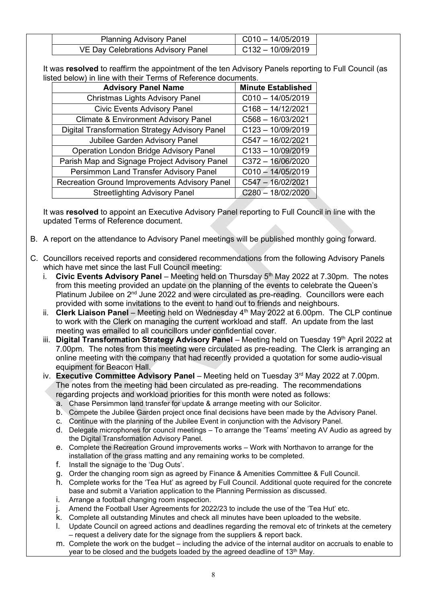| <b>Planning Advisory Panel</b>     | $CO10 - 14/05/2019$ |
|------------------------------------|---------------------|
| VE Day Celebrations Advisory Panel | C132-10/09/2019     |

It was **resolved** to reaffirm the appointment of the ten Advisory Panels reporting to Full Council (as listed below) in line with their Terms of Reference documents.

| <b>Advisory Panel Name</b>                            | <b>Minute Established</b> |
|-------------------------------------------------------|---------------------------|
| <b>Christmas Lights Advisory Panel</b>                | $C010 - 14/05/2019$       |
| <b>Civic Events Advisory Panel</b>                    | $C168 - 14/12/2021$       |
| <b>Climate &amp; Environment Advisory Panel</b>       | $C568 - 16/03/2021$       |
| <b>Digital Transformation Strategy Advisory Panel</b> | $C123 - 10/09/2019$       |
| Jubilee Garden Advisory Panel                         | C547-16/02/2021           |
| <b>Operation London Bridge Advisory Panel</b>         | $C133 - 10/09/2019$       |
| Parish Map and Signage Project Advisory Panel         | $C372 - 16/06/2020$       |
| Persimmon Land Transfer Advisory Panel                | $C010 - 14/05/2019$       |
| <b>Recreation Ground Improvements Advisory Panel</b>  | C547-16/02/2021           |
| <b>Streetlighting Advisory Panel</b>                  | $C280 - 18/02/2020$       |

It was **resolved** to appoint an Executive Advisory Panel reporting to Full Council in line with the updated Terms of Reference document.

- B. A report on the attendance to Advisory Panel meetings will be published monthly going forward.
- C. Councillors received reports and considered recommendations from the following Advisory Panels which have met since the last Full Council meeting:
	- i. **Civic Events Advisory Panel** Meeting held on Thursday 5<sup>th</sup> May 2022 at 7.30pm. The notes from this meeting provided an update on the planning of the events to celebrate the Queen's Platinum Jubilee on 2<sup>nd</sup> June 2022 and were circulated as pre-reading. Councillors were each provided with some invitations to the event to hand out to friends and neighbours.
	- ii. **Clerk Liaison Panel** Meeting held on Wednesday 4<sup>th</sup> May 2022 at 6.00pm. The CLP continue to work with the Clerk on managing the current workload and staff. An update from the last meeting was emailed to all councillors under confidential cover.
	- iii. **Digital Transformation Strategy Advisory Panel** Meeting held on Tuesday 19<sup>th</sup> April 2022 at 7.00pm. The notes from this meeting were circulated as pre-reading. The Clerk is arranging an online meeting with the company that had recently provided a quotation for some audio-visual equipment for Beacon Hall.
	- iv. **Executive Committee Advisory Panel** Meeting held on Tuesday 3<sup>rd</sup> May 2022 at 7.00pm. The notes from the meeting had been circulated as pre-reading. The recommendations regarding projects and workload priorities for this month were noted as follows:
		- a. Chase Persimmon land transfer for update & arrange meeting with our Solicitor.
		- b. Compete the Jubilee Garden project once final decisions have been made by the Advisory Panel.
		- c. Continue with the planning of the Jubilee Event in conjunction with the Advisory Panel.
		- d. Delegate microphones for council meetings To arrange the 'Teams' meeting AV Audio as agreed by the Digital Transformation Advisory Panel.
		- e. Complete the Recreation Ground improvements works Work with Northavon to arrange for the installation of the grass matting and any remaining works to be completed.
		- f. Install the signage to the 'Dug Outs'.
		- g. Order the changing room sign as agreed by Finance & Amenities Committee & Full Council.
		- h. Complete works for the 'Tea Hut' as agreed by Full Council. Additional quote required for the concrete base and submit a Variation application to the Planning Permission as discussed.
		- i. Arrange a football changing room inspection.
		- j. Amend the Football User Agreements for 2022/23 to include the use of the 'Tea Hut' etc.
		- k. Complete all outstanding Minutes and check all minutes have been uploaded to the website.
		- l. Update Council on agreed actions and deadlines regarding the removal etc of trinkets at the cemetery – request a delivery date for the signage from the suppliers & report back.
		- m. Complete the work on the budget including the advice of the internal auditor on accruals to enable to year to be closed and the budgets loaded by the agreed deadline of 13<sup>th</sup> May.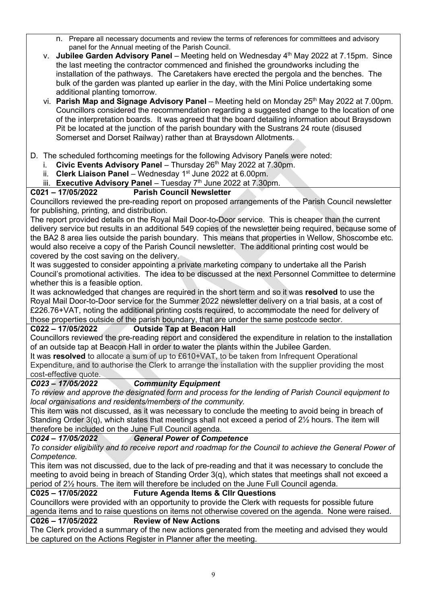- n. Prepare all necessary documents and review the terms of references for committees and advisory panel for the Annual meeting of the Parish Council.
- v. **Jubilee Garden Advisory Panel** Meeting held on Wednesday 4<sup>th</sup> May 2022 at 7.15pm. Since the last meeting the contractor commenced and finished the groundworks including the installation of the pathways. The Caretakers have erected the pergola and the benches. The bulk of the garden was planted up earlier in the day, with the Mini Police undertaking some additional planting tomorrow.
- vi. **Parish Map and Signage Advisory Panel** Meeting held on Monday 25<sup>th</sup> May 2022 at 7.00pm. Councillors considered the recommendation regarding a suggested change to the location of one of the interpretation boards. It was agreed that the board detailing information about Braysdown Pit be located at the junction of the parish boundary with the Sustrans 24 route (disused Somerset and Dorset Railway) rather than at Braysdown Allotments.

### D. The scheduled forthcoming meetings for the following Advisory Panels were noted:

- i. **Civic Events Advisory Panel** Thursday 26<sup>th</sup> May 2022 at 7.30pm.
- ii. **Clerk Liaison Panel** Wednesday 1<sup>st</sup> June 2022 at 6.00pm.
- iii. **Executive Advisory Panel** Tuesday 7<sup>th</sup> June 2022 at 7.30pm.<br>**C021 17/05/2022 Parish Council Newsletter**

# **Parish Council Newsletter**

Councillors reviewed the pre-reading report on proposed arrangements of the Parish Council newsletter for publishing, printing, and distribution.

The report provided details on the Royal Mail Door-to-Door service. This is cheaper than the current delivery service but results in an additional 549 copies of the newsletter being required, because some of the BA2 8 area lies outside the parish boundary. This means that properties in Wellow, Shoscombe etc. would also receive a copy of the Parish Council newsletter. The additional printing cost would be covered by the cost saving on the delivery.

It was suggested to consider appointing a private marketing company to undertake all the Parish Council's promotional activities. The idea to be discussed at the next Personnel Committee to determine whether this is a feasible option.

It was acknowledged that changes are required in the short term and so it was **resolved** to use the Royal Mail Door-to-Door service for the Summer 2022 newsletter delivery on a trial basis, at a cost of £226.76+VAT, noting the additional printing costs required, to accommodate the need for delivery of those properties outside of the parish boundary, that are under the same postcode sector.

#### **C022 – 17/05/2022 Outside Tap at Beacon Hall**

Councillors reviewed the pre-reading report and considered the expenditure in relation to the installation of an outside tap at Beacon Hall in order to water the plants within the Jubilee Garden.

It was **resolved** to allocate a sum of up to £610+VAT, to be taken from Infrequent Operational Expenditure, and to authorise the Clerk to arrange the installation with the supplier providing the most cost-effective quote.

#### *C023 – 17/05/2022 Community Equipment*

*To review and approve the designated form and process for the lending of Parish Council equipment to local organisations and residents/members of the community.* 

This item was not discussed, as it was necessary to conclude the meeting to avoid being in breach of Standing Order 3(q), which states that meetings shall not exceed a period of 2<sup>1/2</sup> hours. The item will therefore be included on the June Full Council agenda.

# *C024 – 17/05/2022 General Power of Competence*

*To consider eligibility and to receive report and roadmap for the Council to achieve the General Power of Competence.*

This item was not discussed, due to the lack of pre-reading and that it was necessary to conclude the meeting to avoid being in breach of Standing Order 3(q), which states that meetings shall not exceed a period of 2½ hours. The item will therefore be included on the June Full Council agenda.

#### **C025 – 17/05/2022 Future Agenda Items & Cllr Questions**

Councillors were provided with an opportunity to provide the Clerk with requests for possible future agenda items and to raise questions on items not otherwise covered on the agenda. None were raised.

#### **C026 – 17/05/2022 Review of New Actions**

The Clerk provided a summary of the new actions generated from the meeting and advised they would be captured on the Actions Register in Planner after the meeting.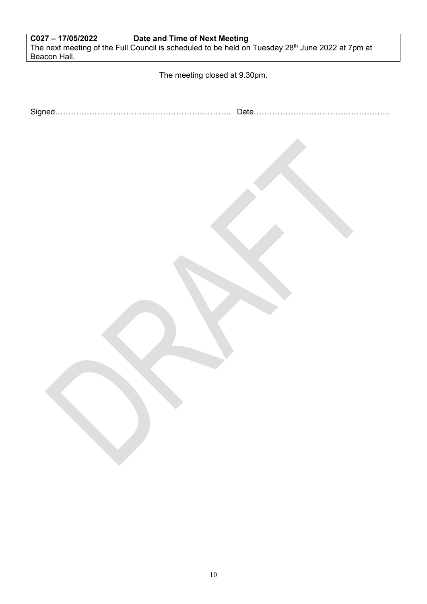| C027-17/05/2022 | Date and Time of Next Meeting                                                                                |
|-----------------|--------------------------------------------------------------------------------------------------------------|
|                 | The next meeting of the Full Council is scheduled to be held on Tuesday 28 <sup>th</sup> June 2022 at 7pm at |
| Beacon Hall.    |                                                                                                              |

The meeting closed at 9.30pm.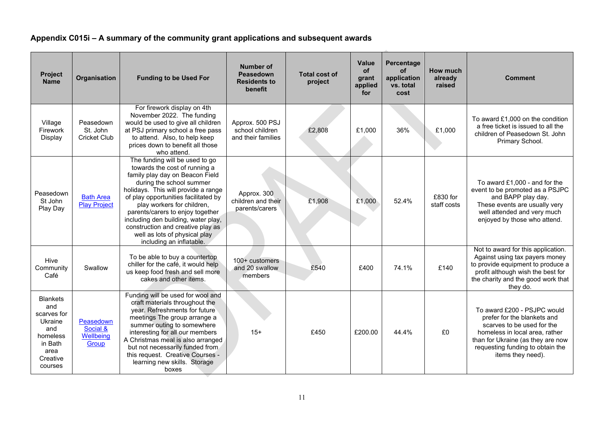# **Appendix C015i – A summary of the community grant applications and subsequent awards**

| Project<br><b>Name</b>                                                                                        | <b>Organisation</b>                          | <b>Funding to be Used For</b>                                                                                                                                                                                                                                                                                                                                                                                            | <b>Number of</b><br>Peasedown<br><b>Residents to</b><br>benefit | <b>Total cost of</b><br>project | <b>Value</b><br><b>of</b><br>grant<br>applied<br>for | Percentage<br><b>of</b><br>application<br>vs. total<br>cost | How much<br>already<br>raised | <b>Comment</b>                                                                                                                                                                                                           |
|---------------------------------------------------------------------------------------------------------------|----------------------------------------------|--------------------------------------------------------------------------------------------------------------------------------------------------------------------------------------------------------------------------------------------------------------------------------------------------------------------------------------------------------------------------------------------------------------------------|-----------------------------------------------------------------|---------------------------------|------------------------------------------------------|-------------------------------------------------------------|-------------------------------|--------------------------------------------------------------------------------------------------------------------------------------------------------------------------------------------------------------------------|
| Village<br>Firework<br>Display                                                                                | Peasedown<br>St. John<br><b>Cricket Club</b> | For firework display on 4th<br>November 2022. The funding<br>would be used to give all children<br>at PSJ primary school a free pass<br>to attend. Also, to help keep<br>prices down to benefit all those<br>who attend.                                                                                                                                                                                                 | Approx. 500 PSJ<br>school children<br>and their families        | £2,808                          | £1,000                                               | 36%                                                         | £1,000                        | To award £1,000 on the condition<br>a free ticket is issued to all the<br>children of Peasedown St. John<br>Primary School.                                                                                              |
| Peasedown<br>St John<br>Play Day                                                                              | <b>Bath Area</b><br><b>Play Project</b>      | The funding will be used to go<br>towards the cost of running a<br>family play day on Beacon Field<br>during the school summer<br>holidays. This will provide a range<br>of play opportunities facilitated by<br>play workers for children,<br>parents/carers to enjoy together<br>including den building, water play,<br>construction and creative play as<br>well as lots of physical play<br>including an inflatable. | Approx. 300<br>children and their<br>parents/carers             | £1,908                          | £1,000                                               | 52.4%                                                       | £830 for<br>staff costs       | To award £1,000 - and for the<br>event to be promoted as a PSJPC<br>and BAPP play day.<br>These events are usually very<br>well attended and very much<br>enjoyed by those who attend.                                   |
| Hive<br>Community<br>Café                                                                                     | Swallow                                      | To be able to buy a countertop<br>chiller for the café, it would help<br>us keep food fresh and sell more<br>cakes and other items.                                                                                                                                                                                                                                                                                      | 100+ customers<br>and 20 swallow<br>members                     | £540                            | £400                                                 | 74.1%                                                       | £140                          | Not to award for this application.<br>Against using tax payers money<br>to provide equipment to produce a<br>profit although wish the best for<br>the charity and the good work that<br>they do.                         |
| <b>Blankets</b><br>and<br>scarves for<br>Ukraine<br>and<br>homeless<br>in Bath<br>area<br>Creative<br>courses | Peasedown<br>Social &<br>Wellbeing<br>Group  | Funding will be used for wool and<br>craft materials throughout the<br>year. Refreshments for future<br>meetings The group arrange a<br>summer outing to somewhere<br>interesting for all our members<br>A Christmas meal is also arranged<br>but not necessarily funded from<br>this request. Creative Courses -<br>learning new skills. Storage<br>boxes                                                               | $15+$                                                           | £450                            | £200.00                                              | 44.4%                                                       | £0                            | To award £200 - PSJPC would<br>prefer for the blankets and<br>scarves to be used for the<br>homeless in local area, rather<br>than for Ukraine (as they are now<br>requesting funding to obtain the<br>items they need). |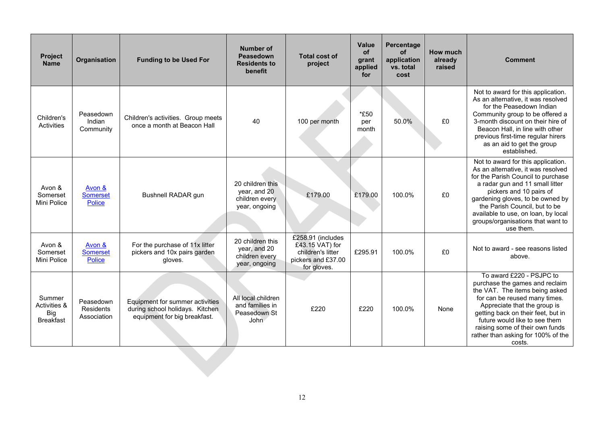| Project<br><b>Name</b>                            | Organisation                                 | <b>Funding to be Used For</b>                                                                      | <b>Number of</b><br>Peasedown<br><b>Residents to</b><br>benefit     | <b>Total cost of</b><br>project                                                                | <b>Value</b><br>of<br>grant<br>applied<br>for | Percentage<br><b>of</b><br>application<br>vs. total<br>cost | How much<br>already<br>raised | <b>Comment</b>                                                                                                                                                                                                                                                                                                                             |
|---------------------------------------------------|----------------------------------------------|----------------------------------------------------------------------------------------------------|---------------------------------------------------------------------|------------------------------------------------------------------------------------------------|-----------------------------------------------|-------------------------------------------------------------|-------------------------------|--------------------------------------------------------------------------------------------------------------------------------------------------------------------------------------------------------------------------------------------------------------------------------------------------------------------------------------------|
| Children's<br>Activities                          | Peasedown<br>Indian<br>Community             | Children's activities. Group meets<br>once a month at Beacon Hall                                  | 40                                                                  | 100 per month                                                                                  | *£50<br>per<br>month                          | 50.0%                                                       | £0                            | Not to award for this application.<br>As an alternative, it was resolved<br>for the Peasedown Indian<br>Community group to be offered a<br>3-month discount on their hire of<br>Beacon Hall, in line with other<br>previous first-time regular hirers<br>as an aid to get the group<br>established.                                        |
| Avon &<br>Somerset<br>Mini Police                 | Avon &<br><b>Somerset</b><br><b>Police</b>   | Bushnell RADAR gun                                                                                 | 20 children this<br>year, and 20<br>children every<br>year, ongoing | £179.00                                                                                        | £179.00                                       | 100.0%                                                      | £0                            | Not to award for this application.<br>As an alternative, it was resolved<br>for the Parish Council to purchase<br>a radar gun and 11 small litter<br>pickers and 10 pairs of<br>gardening gloves, to be owned by<br>the Parish Council, but to be<br>available to use, on loan, by local<br>groups/organisations that want to<br>use them. |
| Avon &<br>Somerset<br>Mini Police                 | Avon &<br><b>Somerset</b><br><b>Police</b>   | For the purchase of 11x litter<br>pickers and 10x pairs garden<br>gloves.                          | 20 children this<br>year, and 20<br>children every<br>year, ongoing | £258.91 (includes<br>£43.15 VAT) for<br>children's litter<br>pickers and £37.00<br>for gloves. | £295.91                                       | 100.0%                                                      | £0                            | Not to award - see reasons listed<br>above.                                                                                                                                                                                                                                                                                                |
| Summer<br>Activities &<br>Big<br><b>Breakfast</b> | Peasedown<br><b>Residents</b><br>Association | Equipment for summer activities<br>during school holidays. Kitchen<br>equipment for big breakfast. | All local children<br>and families in<br>Peasedown St<br>John       | £220                                                                                           | £220                                          | 100.0%                                                      | None                          | To award £220 - PSJPC to<br>purchase the games and reclaim<br>the VAT. The items being asked<br>for can be reused many times.<br>Appreciate that the group is<br>getting back on their feet, but in<br>future would like to see them<br>raising some of their own funds<br>rather than asking for 100% of the<br>costs.                    |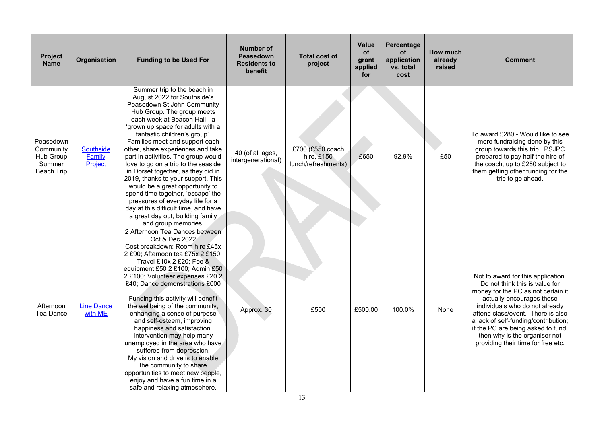| <b>Project</b><br><b>Name</b>                                      | Organisation                          | <b>Funding to be Used For</b>                                                                                                                                                                                                                                                                                                                                                                                                                                                                                                                                                                                                                                                                          | <b>Number of</b><br>Peasedown<br><b>Residents to</b><br>benefit | <b>Total cost of</b><br>project                       | Value<br>of<br>grant<br>applied<br>for | Percentage<br><b>of</b><br>application<br>vs. total<br>cost | How much<br>already<br>raised | <b>Comment</b>                                                                                                                                                                                                                                                                                                                                                      |
|--------------------------------------------------------------------|---------------------------------------|--------------------------------------------------------------------------------------------------------------------------------------------------------------------------------------------------------------------------------------------------------------------------------------------------------------------------------------------------------------------------------------------------------------------------------------------------------------------------------------------------------------------------------------------------------------------------------------------------------------------------------------------------------------------------------------------------------|-----------------------------------------------------------------|-------------------------------------------------------|----------------------------------------|-------------------------------------------------------------|-------------------------------|---------------------------------------------------------------------------------------------------------------------------------------------------------------------------------------------------------------------------------------------------------------------------------------------------------------------------------------------------------------------|
| Peasedown<br>Community<br>Hub Group<br>Summer<br><b>Beach Trip</b> | <b>Southside</b><br>Family<br>Project | Summer trip to the beach in<br>August 2022 for Southside's<br>Peasedown St John Community<br>Hub Group. The group meets<br>each week at Beacon Hall - a<br>'grown up space for adults with a<br>fantastic children's group'.<br>Families meet and support each<br>other, share experiences and take<br>part in activities. The group would<br>love to go on a trip to the seaside<br>in Dorset together, as they did in<br>2019, thanks to your support. This<br>would be a great opportunity to<br>spend time together, 'escape' the<br>pressures of everyday life for a<br>day at this difficult time, and have<br>a great day out, building family<br>and group memories.                           | 40 (of all ages,<br>intergenerational)                          | £700 (£550 coach<br>hire, £150<br>lunch/refreshments) | £650                                   | 92.9%                                                       | £50                           | To award £280 - Would like to see<br>more fundraising done by this<br>group towards this trip. PSJPC<br>prepared to pay half the hire of<br>the coach, up to £280 subject to<br>them getting other funding for the<br>trip to go ahead.                                                                                                                             |
| Afternoon<br><b>Tea Dance</b>                                      | <b>Line Dance</b><br>with ME          | 2 Afternoon Tea Dances between<br>Oct & Dec 2022<br>Cost breakdown: Room hire £45x<br>2 £90; Afternoon tea £75x 2 £150;<br>Travel £10x 2 £20; Fee &<br>equipment £50 2 £100; Admin £50<br>2 £100; Volunteer expenses £20 2<br>£40; Dance demonstrations £000<br>Funding this activity will benefit<br>the wellbeing of the community,<br>enhancing a sense of purpose<br>and self-esteem, improving<br>happiness and satisfaction.<br>Intervention may help many<br>unemployed in the area who have<br>suffered from depression.<br>My vision and drive is to enable<br>the community to share<br>opportunities to meet new people,<br>enjoy and have a fun time in a<br>safe and relaxing atmosphere. | Approx. 30                                                      | £500                                                  | £500.00                                | 100.0%                                                      | None                          | Not to award for this application.<br>Do not think this is value for<br>money for the PC as not certain it<br>actually encourages those<br>individuals who do not already<br>attend class/event. There is also<br>a lack of self-funding/contribution;<br>if the PC are being asked to fund,<br>then why is the organiser not<br>providing their time for free etc. |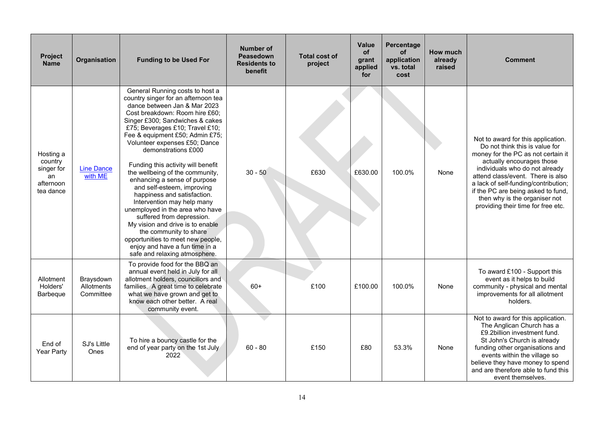| <b>Project</b><br><b>Name</b>                                      | Organisation                         | <b>Funding to be Used For</b>                                                                                                                                                                                                                                                                                                                                                                                                                                                                                                                                                                                                                                                                                                                       | Number of<br>Peasedown<br><b>Residents to</b><br>benefit | <b>Total cost of</b><br>project | Value<br><b>of</b><br>grant<br>applied<br>for | Percentage<br><b>of</b><br>application<br>vs. total<br>cost | How much<br>already<br>raised | <b>Comment</b>                                                                                                                                                                                                                                                                                                                                                      |
|--------------------------------------------------------------------|--------------------------------------|-----------------------------------------------------------------------------------------------------------------------------------------------------------------------------------------------------------------------------------------------------------------------------------------------------------------------------------------------------------------------------------------------------------------------------------------------------------------------------------------------------------------------------------------------------------------------------------------------------------------------------------------------------------------------------------------------------------------------------------------------------|----------------------------------------------------------|---------------------------------|-----------------------------------------------|-------------------------------------------------------------|-------------------------------|---------------------------------------------------------------------------------------------------------------------------------------------------------------------------------------------------------------------------------------------------------------------------------------------------------------------------------------------------------------------|
| Hosting a<br>country<br>singer for<br>an<br>afternoon<br>tea dance | <b>Line Dance</b><br>with ME         | General Running costs to host a<br>country singer for an afternoon tea<br>dance between Jan & Mar 2023<br>Cost breakdown: Room hire £60:<br>Singer £300; Sandwiches & cakes<br>£75; Beverages £10; Travel £10;<br>Fee & equipment £50; Admin £75;<br>Volunteer expenses £50; Dance<br>demonstrations £000<br>Funding this activity will benefit<br>the wellbeing of the community,<br>enhancing a sense of purpose<br>and self-esteem, improving<br>happiness and satisfaction.<br>Intervention may help many<br>unemployed in the area who have<br>suffered from depression.<br>My vision and drive is to enable<br>the community to share<br>opportunities to meet new people,<br>enjoy and have a fun time in a<br>safe and relaxing atmosphere. | $30 - 50$                                                | £630                            | £630.00                                       | 100.0%                                                      | None                          | Not to award for this application.<br>Do not think this is value for<br>money for the PC as not certain it<br>actually encourages those<br>individuals who do not already<br>attend class/event. There is also<br>a lack of self-funding/contribution;<br>if the PC are being asked to fund,<br>then why is the organiser not<br>providing their time for free etc. |
| Allotment<br>Holders'<br>Barbeque                                  | Braysdown<br>Allotments<br>Committee | To provide food for the BBQ an<br>annual event held in July for all<br>allotment holders, councillors and<br>families. A great time to celebrate<br>what we have grown and get to<br>know each other better. A real<br>community event.                                                                                                                                                                                                                                                                                                                                                                                                                                                                                                             | $60+$                                                    | £100                            | £100.00                                       | 100.0%                                                      | None                          | To award £100 - Support this<br>event as it helps to build<br>community - physical and mental<br>improvements for all allotment<br>holders.                                                                                                                                                                                                                         |
| End of<br>Year Party                                               | SJ's Little<br>Ones                  | To hire a bouncy castle for the<br>end of year party on the 1st July<br>2022                                                                                                                                                                                                                                                                                                                                                                                                                                                                                                                                                                                                                                                                        | $60 - 80$                                                | £150                            | £80                                           | 53.3%                                                       | None                          | Not to award for this application.<br>The Anglican Church has a<br>£9.2billion investment fund.<br>St John's Church is already<br>funding other organisations and<br>events within the village so<br>believe they have money to spend<br>and are therefore able to fund this<br>event themselves.                                                                   |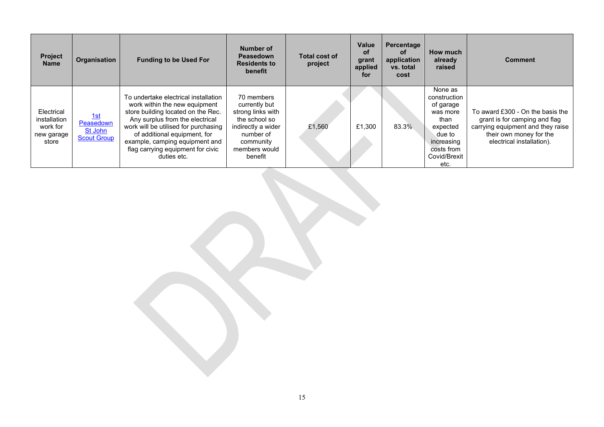| <b>Project</b><br><b>Name</b>                                 | <b>Organisation</b>                               | <b>Funding to be Used For</b>                                                                                                                                                                                                                                                                                | Number of<br>Peasedown<br><b>Residents to</b><br>benefit                                                                                      | Total cost of<br>project | Value<br>οf<br>grant<br>applied<br>for | Percentage<br>οf<br>application<br>vs. total<br>cost | How much<br>already<br>raised                                                                                                      | <b>Comment</b>                                                                                                                                                 |
|---------------------------------------------------------------|---------------------------------------------------|--------------------------------------------------------------------------------------------------------------------------------------------------------------------------------------------------------------------------------------------------------------------------------------------------------------|-----------------------------------------------------------------------------------------------------------------------------------------------|--------------------------|----------------------------------------|------------------------------------------------------|------------------------------------------------------------------------------------------------------------------------------------|----------------------------------------------------------------------------------------------------------------------------------------------------------------|
| Electrical<br>installation<br>work for<br>new garage<br>store | 1st<br>Peasedown<br>St John<br><b>Scout Group</b> | To undertake electrical installation<br>work within the new equipment<br>store building located on the Rec.<br>Any surplus from the electrical<br>work will be utilised for purchasing<br>of additional equipment, for<br>example, camping equipment and<br>flag carrying equipment for civic<br>duties etc. | 70 members<br>currently but<br>strong links with<br>the school so<br>indirectly a wider<br>number of<br>community<br>members would<br>benefit | £1,560                   | £1,300                                 | 83.3%                                                | None as<br>construction<br>of garage<br>was more<br>than<br>expected<br>due to<br>increasing<br>costs from<br>Covid/Brexit<br>etc. | To award £300 - On the basis the<br>grant is for camping and flag<br>carrying equipment and they raise<br>their own money for the<br>electrical installation). |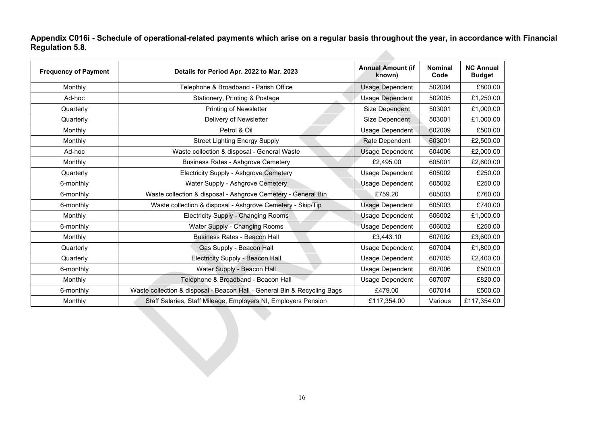**Appendix C016i - Schedule of operational-related payments which arise on a regular basis throughout the year, in accordance with Financial Regulation 5.8. Allen** 

| <b>Frequency of Payment</b> | Details for Period Apr. 2022 to Mar. 2023                                | <b>Annual Amount (if</b><br>known) | <b>Nominal</b><br>Code | <b>NC Annual</b><br><b>Budget</b> |
|-----------------------------|--------------------------------------------------------------------------|------------------------------------|------------------------|-----------------------------------|
| Monthly                     | Telephone & Broadband - Parish Office                                    | <b>Usage Dependent</b>             | 502004                 | £800.00                           |
| Ad-hoc                      | Stationery, Printing & Postage                                           | <b>Usage Dependent</b>             | 502005                 | £1,250.00                         |
| Quarterly                   | Printing of Newsletter                                                   | <b>Size Dependent</b>              | 503001                 | £1,000.00                         |
| Quarterly                   | Delivery of Newsletter                                                   | Size Dependent                     | 503001                 | £1,000.00                         |
| Monthly                     | Petrol & Oil                                                             | Usage Dependent                    | 602009                 | £500.00                           |
| Monthly                     | <b>Street Lighting Energy Supply</b>                                     | Rate Dependent                     | 603001                 | £2,500.00                         |
| Ad-hoc                      | Waste collection & disposal - General Waste                              | <b>Usage Dependent</b>             | 604006                 | £2,000.00                         |
| Monthly                     | <b>Business Rates - Ashgrove Cemetery</b>                                | £2.495.00                          | 605001                 | £2,600.00                         |
| Quarterly                   | Electricity Supply - Ashgrove Cemetery                                   | Usage Dependent                    | 605002                 | £250.00                           |
| 6-monthly                   | Water Supply - Ashgrove Cemetery                                         | <b>Usage Dependent</b>             | 605002                 | £250.00                           |
| 6-monthly                   | Waste collection & disposal - Ashgrove Cemetery - General Bin            | £759.20                            | 605003                 | £760.00                           |
| 6-monthly                   | Waste collection & disposal - Ashgrove Cemetery - Skip/Tip               | Usage Dependent                    | 605003                 | £740.00                           |
| Monthly                     | <b>Electricity Supply - Changing Rooms</b>                               | <b>Usage Dependent</b>             | 606002                 | £1,000.00                         |
| 6-monthly                   | Water Supply - Changing Rooms                                            | <b>Usage Dependent</b>             | 606002                 | £250.00                           |
| Monthly                     | <b>Business Rates - Beacon Hall</b>                                      | £3,443.10                          | 607002                 | £3,600.00                         |
| Quarterly                   | Gas Supply - Beacon Hall                                                 | Usage Dependent                    | 607004                 | £1,800.00                         |
| Quarterly                   | Electricity Supply - Beacon Hall                                         | <b>Usage Dependent</b>             | 607005                 | £2,400.00                         |
| 6-monthly                   | Water Supply - Beacon Hall                                               | Usage Dependent                    | 607006                 | £500.00                           |
| Monthly                     | Telephone & Broadband - Beacon Hall                                      | Usage Dependent                    | 607007                 | £820.00                           |
| 6-monthly                   | Waste collection & disposal - Beacon Hall - General Bin & Recycling Bags | £479.00                            | 607014                 | £500.00                           |
| Monthly                     | Staff Salaries, Staff Mileage, Employers NI, Employers Pension           | £117,354.00                        | Various                | £117,354.00                       |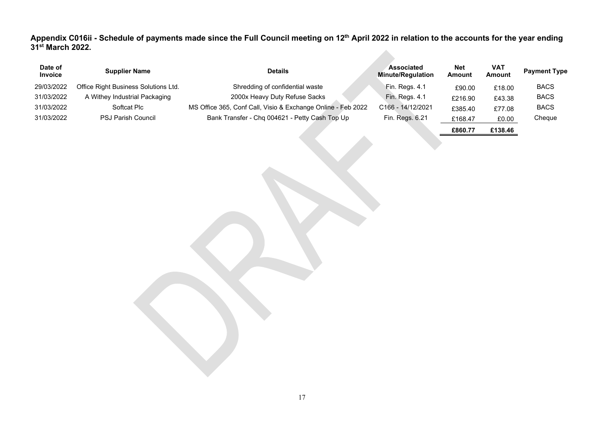Appendix C016ii - Schedule of payments made since the Full Council meeting on 12<sup>th</sup> April 2022 in relation to the accounts for the year ending **31st March 2022.**

| Date of<br><b>Invoice</b> | <b>Supplier Name</b>                 | <b>Details</b>                                               | <b>Associated</b><br><b>Minute/Regulation</b> | <b>Net</b><br><b>Amount</b> | <b>VAT</b><br><b>Amount</b> | <b>Payment Type</b> |
|---------------------------|--------------------------------------|--------------------------------------------------------------|-----------------------------------------------|-----------------------------|-----------------------------|---------------------|
| 29/03/2022                | Office Right Business Solutions Ltd. | Shredding of confidential waste                              | Fin. Regs. 4.1                                | £90.00                      | £18.00                      | <b>BACS</b>         |
| 31/03/2022                | A Withey Industrial Packaging        | 2000x Heavy Duty Refuse Sacks                                | Fin. Regs. 4.1                                | £216.90                     | £43.38                      | <b>BACS</b>         |
| 31/03/2022                | Softcat Plc                          | MS Office 365, Conf Call, Visio & Exchange Online - Feb 2022 | C166 - 14/12/2021                             | £385.40                     | £77.08                      | <b>BACS</b>         |
| 31/03/2022                | <b>PSJ Parish Council</b>            | Bank Transfer - Chq 004621 - Petty Cash Top Up               | Fin. Regs. 6.21                               | £168.47                     | £0.00                       | Cheque              |
|                           |                                      |                                                              |                                               | £860.77                     | £138.46                     |                     |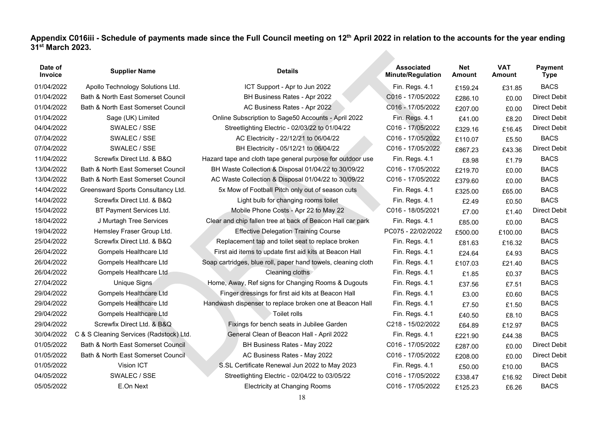**Appendix C016iii - Schedule of payments made since the Full Council meeting on 12th April 2022 in relation to the accounts for the year ending 31st March 2023.** 

| Date of<br>Invoice | <b>Supplier Name</b>                    | <b>Details</b>                                                | <b>Associated</b><br><b>Minute/Regulation</b> | Net<br><b>Amount</b> | <b>VAT</b><br>Amount | <b>Payment</b><br><b>Type</b> |
|--------------------|-----------------------------------------|---------------------------------------------------------------|-----------------------------------------------|----------------------|----------------------|-------------------------------|
| 01/04/2022         | Apollo Technology Solutions Ltd.        | ICT Support - Apr to Jun 2022                                 | Fin. Regs. 4.1                                | £159.24              | £31.85               | <b>BACS</b>                   |
| 01/04/2022         | Bath & North East Somerset Council      | BH Business Rates - Apr 2022                                  | C016 - 17/05/2022                             | £286.10              | £0.00                | <b>Direct Debit</b>           |
| 01/04/2022         | Bath & North East Somerset Council      | AC Business Rates - Apr 2022                                  | C016 - 17/05/2022                             | £207.00              | £0.00                | <b>Direct Debit</b>           |
| 01/04/2022         | Sage (UK) Limited                       | Online Subscription to Sage50 Accounts - April 2022           | Fin. Regs. 4.1                                | £41.00               | £8.20                | <b>Direct Debit</b>           |
| 04/04/2022         | SWALEC / SSE                            | Streetlighting Electric - 02/03/22 to 01/04/22                | C016 - 17/05/2022                             | £329.16              | £16.45               | <b>Direct Debit</b>           |
| 07/04/2022         | SWALEC / SSE                            | AC Electricity - 22/12/21 to 06/04/22                         | C016 - 17/05/2022                             | £110.07              | £5.50                | <b>BACS</b>                   |
| 07/04/2022         | SWALEC / SSE                            | BH Electricity - 05/12/21 to 06/04/22                         | C016 - 17/05/2022                             | £867.23              | £43.36               | <b>Direct Debit</b>           |
| 11/04/2022         | Screwfix Direct Ltd. & B&Q              | Hazard tape and cloth tape general purpose for outdoor use    | Fin. Regs. 4.1                                | £8.98                | £1.79                | <b>BACS</b>                   |
| 13/04/2022         | Bath & North East Somerset Council      | BH Waste Collection & Disposal 01/04/22 to 30/09/22           | C016 - 17/05/2022                             | £219.70              | £0.00                | <b>BACS</b>                   |
| 13/04/2022         | Bath & North East Somerset Council      | AC Waste Collection & Disposal 01/04/22 to 30/09/22           | C016 - 17/05/2022                             | £379.60              | £0.00                | <b>BACS</b>                   |
| 14/04/2022         | Greensward Sports Consultancy Ltd.      | 5x Mow of Football Pitch only out of season cuts              | Fin. Regs. 4.1                                | £325.00              | £65.00               | <b>BACS</b>                   |
| 14/04/2022         | Screwfix Direct Ltd. & B&Q              | Light bulb for changing rooms toilet                          | Fin. Regs. 4.1                                | £2.49                | £0.50                | <b>BACS</b>                   |
| 15/04/2022         | BT Payment Services Ltd.                | Mobile Phone Costs - Apr 22 to May 22                         | C016 - 18/05/2021                             | £7.00                | £1.40                | <b>Direct Debit</b>           |
| 18/04/2022         | J Murtagh Tree Services                 | Clear and chip fallen tree at back of Beacon Hall car park    | Fin. Regs. 4.1                                | £85.00               | £0.00                | <b>BACS</b>                   |
| 19/04/2022         | Hemsley Fraser Group Ltd.               | <b>Effective Delegation Training Course</b>                   | PC075 - 22/02/2022                            | £500.00              | £100.00              | <b>BACS</b>                   |
| 25/04/2022         | Screwfix Direct Ltd. & B&Q              | Replacement tap and toilet seat to replace broken             | Fin. Regs. 4.1                                | £81.63               | £16.32               | <b>BACS</b>                   |
| 26/04/2022         | Gompels Healthcare Ltd                  | First aid items to update first aid kits at Beacon Hall       | Fin. Regs. 4.1                                | £24.64               | £4.93                | <b>BACS</b>                   |
| 26/04/2022         | Gompels Healthcare Ltd                  | Soap cartridges, blue roll, paper hand towels, cleaning cloth | Fin. Regs. 4.1                                | £107.03              | £21.40               | <b>BACS</b>                   |
| 26/04/2022         | Gompels Healthcare Ltd                  | Cleaning cloths                                               | Fin. Regs. 4.1                                | £1.85                | £0.37                | <b>BACS</b>                   |
| 27/04/2022         | Unique Signs                            | Home, Away, Ref signs for Changing Rooms & Dugouts            | Fin. Regs. 4.1                                | £37.56               | £7.51                | <b>BACS</b>                   |
| 29/04/2022         | Gompels Healthcare Ltd                  | Finger dressings for first aid kits at Beacon Hall            | Fin. Regs. 4.1                                | £3.00                | £0.60                | <b>BACS</b>                   |
| 29/04/2022         | <b>Gompels Healthcare Ltd</b>           | Handwash dispenser to replace broken one at Beacon Hall       | Fin. Regs. 4.1                                | £7.50                | £1.50                | <b>BACS</b>                   |
| 29/04/2022         | Gompels Healthcare Ltd                  | Toilet rolls                                                  | Fin. Regs. 4.1                                | £40.50               | £8.10                | <b>BACS</b>                   |
| 29/04/2022         | Screwfix Direct Ltd. & B&Q              | Fixings for bench seats in Jubilee Garden                     | C218 - 15/02/2022                             | £64.89               | £12.97               | <b>BACS</b>                   |
| 30/04/2022         | C & S Cleaning Services (Radstock) Ltd. | General Clean of Beacon Hall - April 2022                     | Fin. Regs. 4.1                                | £221.90              | £44.38               | <b>BACS</b>                   |
| 01/05/2022         | Bath & North East Somerset Council      | BH Business Rates - May 2022                                  | C016 - 17/05/2022                             | £287.00              | £0.00                | <b>Direct Debit</b>           |
| 01/05/2022         | Bath & North East Somerset Council      | AC Business Rates - May 2022                                  | C016 - 17/05/2022                             | £208.00              | £0.00                | <b>Direct Debit</b>           |
| 01/05/2022         | Vision ICT                              | S.SL Certificate Renewal Jun 2022 to May 2023                 | Fin. Regs. 4.1                                | £50.00               | £10.00               | <b>BACS</b>                   |
| 04/05/2022         | SWALEC / SSE                            | Streetlighting Electric - 02/04/22 to 03/05/22                | C016 - 17/05/2022                             | £338.47              | £16.92               | <b>Direct Debit</b>           |
| 05/05/2022         | E.On Next                               | <b>Electricity at Changing Rooms</b>                          | C016 - 17/05/2022                             | £125.23              | £6.26                | <b>BACS</b>                   |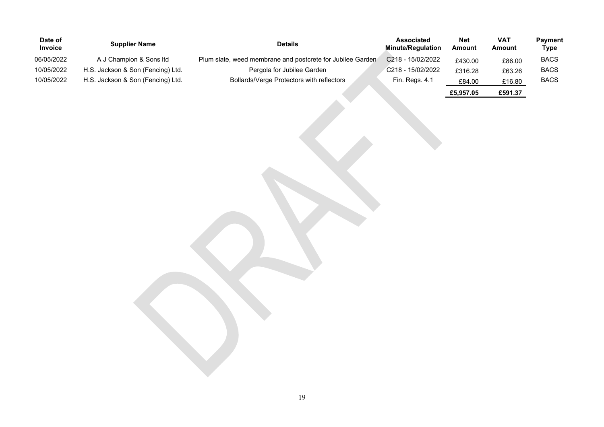| Date of<br><b>Invoice</b> | <b>Supplier Name</b>              | <b>Details</b>                                             | Associated<br><b>Minute/Regulation</b> | <b>Net</b><br><b>Amount</b> | <b>VAT</b><br><b>Amount</b> | <b>Payment</b><br>Type |
|---------------------------|-----------------------------------|------------------------------------------------------------|----------------------------------------|-----------------------------|-----------------------------|------------------------|
| 06/05/2022                | A J Champion & Sons Itd           | Plum slate, weed membrane and postcrete for Jubilee Garden | C218 - 15/02/2022                      | £430.00                     | £86.00                      | <b>BACS</b>            |
| 10/05/2022                | H.S. Jackson & Son (Fencing) Ltd. | Pergola for Jubilee Garden                                 | C218 - 15/02/2022                      | £316.28                     | £63.26                      | <b>BACS</b>            |
| 10/05/2022                | H.S. Jackson & Son (Fencing) Ltd. | Bollards/Verge Protectors with reflectors                  | Fin. Regs. 4.1                         | £84.00                      | £16.80                      | <b>BACS</b>            |
|                           |                                   |                                                            |                                        | £5,957.05                   | £591.37                     |                        |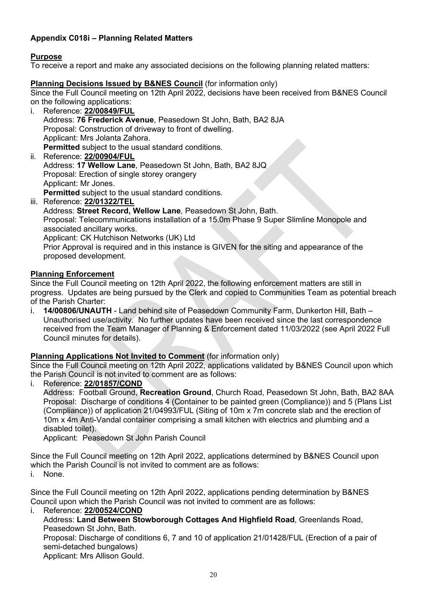# **Appendix C018i – Planning Related Matters**

# **Purpose**

To receive a report and make any associated decisions on the following planning related matters:

#### **Planning Decisions Issued by B&NES Council** (for information only)

Since the Full Council meeting on 12th April 2022, decisions have been received from B&NES Council on the following applications:

- i. Reference: **[22/00849/FUL](https://www.bathnes.gov.uk/webforms/planning/details.html?refval=22%2F00849%2FFUL)** Address: **76 Frederick Avenue**, Peasedown St John, Bath, BA2 8JA Proposal: Construction of driveway to front of dwelling. Applicant: Mrs Jolanta Zahora. **Permitted** subject to the usual standard conditions. ii. Reference: **[22/00904/FUL](https://www.bathnes.gov.uk/webforms/planning/details.html?refval=22%2F00904%2FFUL)**
- Address: **17 Wellow Lane**, Peasedown St John, Bath, BA2 8JQ Proposal: Erection of single storey orangery Applicant: Mr Jones. **Permitted** subject to the usual standard conditions.
- iii. Reference: **[22/01322/TEL](https://www.bathnes.gov.uk/webforms/planning/details.html?refval=22%2F01322%2FTEL)**

Address: **Street Record, Wellow Lane**, Peasedown St John, Bath. Proposal: Telecommunications installation of a 15.0m Phase 9 Super Slimline Monopole and associated ancillary works. Applicant: CK Hutchison Networks (UK) Ltd

Prior Approval is required and in this instance is GIVEN for the siting and appearance of the proposed development.

#### **Planning Enforcement**

Since the Full Council meeting on 12th April 2022, the following enforcement matters are still in progress. Updates are being pursued by the Clerk and copied to Communities Team as potential breach of the Parish Charter:

i. **14/00806/UNAUTH** - Land behind site of Peasedown Community Farm, Dunkerton Hill, Bath – Unauthorised use/activity. No further updates have been received since the last correspondence received from the Team Manager of Planning & Enforcement dated 11/03/2022 (see April 2022 Full Council minutes for details).

#### **Planning Applications Not Invited to Comment** (for information only)

Since the Full Council meeting on 12th April 2022, applications validated by B&NES Council upon which the Parish Council is not invited to comment are as follows:

#### i. Reference: **[22/01857/COND](https://www.bathnes.gov.uk/webforms/planning/details.html?refval=22%2F01857%2FCOND)**

Address: Football Ground, **Recreation Ground**, Church Road, Peasedown St John, Bath, BA2 8AA Proposal: Discharge of conditions 4 (Container to be painted green (Compliance)) and 5 (Plans List (Compliance)) of application 21/04993/FUL (Siting of 10m x 7m concrete slab and the erection of 10m x 4m Anti-Vandal container comprising a small kitchen with electrics and plumbing and a disabled toilet).

Applicant: Peasedown St John Parish Council

Since the Full Council meeting on 12th April 2022, applications determined by B&NES Council upon which the Parish Council is not invited to comment are as follows:

i. None.

Since the Full Council meeting on 12th April 2022, applications pending determination by B&NES Council upon which the Parish Council was not invited to comment are as follows:

i. Reference: **[22/00524/COND](https://www.bathnes.gov.uk/webforms/planning/details.html?refval=22%2F00524%2FCOND)**

Address: **Land Between Stowborough Cottages And Highfield Road**, Greenlands Road, Peasedown St John, Bath.

Proposal: Discharge of conditions 6, 7 and 10 of application 21/01428/FUL (Erection of a pair of semi-detached bungalows)

Applicant: Mrs Allison Gould.